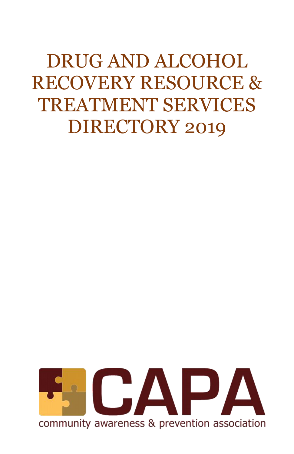# DRUG AND ALCOHOL RECOVERY RESOURCE & TREATMENT SERVICES DIRECTORY 2019

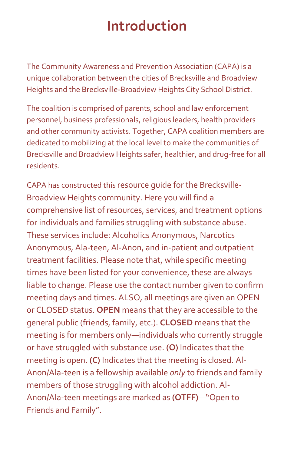### **Introduction**

The Community Awareness and Prevention Association (CAPA) is a unique collaboration between the cities of Brecksville and Broadview Heights and the Brecksville-Broadview Heights City School District.

The coalition is comprised of parents, school and law enforcement personnel, business professionals, religious leaders, health providers and other community activists. Together, CAPA coalition members are dedicated to mobilizing at the local level to make the communities of Brecksville and Broadview Heights safer, healthier, and drug-free for all residents.

CAPA has constructed this resource guide for the Brecksville-Broadview Heights community. Here you will find a comprehensive list of resources, services, and treatment options for individuals and families struggling with substance abuse. These services include: Alcoholics Anonymous, Narcotics Anonymous, Ala-teen, Al-Anon, and in-patient and outpatient treatment facilities. Please note that, while specific meeting times have been listed for your convenience, these are always liable to change. Please use the contact number given to confirm meeting days and times. ALSO, all meetings are given an OPEN or CLOSED status. **OPEN** means that they are accessible to the general public (friends, family, etc.). **CLOSED** means that the meeting is for members only—individuals who currently struggle or have struggled with substance use. **(O)** Indicates that the meeting is open. **(C)** Indicates that the meeting is closed. Al-Anon/Ala-teen is a fellowship available *only* to friends and family members of those struggling with alcohol addiction. Al-Anon/Ala-teen meetings are marked as **(OTFF)**—"Open to Friends and Family".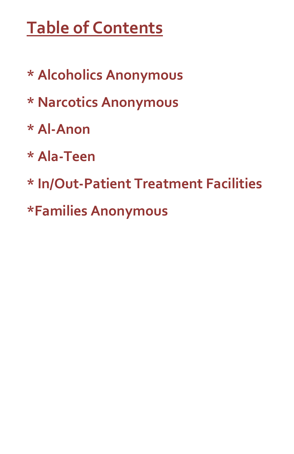# **Table of Contents**

- **\* Alcoholics Anonymous**
- **\* Narcotics Anonymous**
- **\* Al-Anon**
- **\* Ala-Teen**
- **\* In/Out-Patient Treatment Facilities**
- **\*Families Anonymous**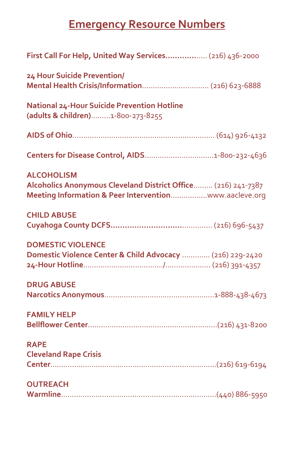### **Emergency Resource Numbers**

| First Call For Help, United Way Services (216) 436-2000                                                                                      |
|----------------------------------------------------------------------------------------------------------------------------------------------|
| 24 Hour Suicide Prevention/                                                                                                                  |
| <b>National 24-Hour Suicide Prevention Hotline</b><br>(adults & children)1-800-273-8255                                                      |
|                                                                                                                                              |
| Centers for Disease Control, AIDS1-800-232-4636                                                                                              |
| <b>ALCOHOLISM</b><br>Alcoholics Anonymous Cleveland District Office (216) 241-7387<br>Meeting Information & Peer Interventionwww.aacleve.org |
| <b>CHILD ABUSE</b>                                                                                                                           |
| <b>DOMESTIC VIOLENCE</b><br>Domestic Violence Center & Child Advocacy  (216) 229-2420                                                        |
| <b>DRUG ABUSE</b>                                                                                                                            |
| <b>FAMILY HELP</b>                                                                                                                           |
| <b>RAPE</b><br><b>Cleveland Rape Crisis</b>                                                                                                  |
| <b>OUTREACH</b>                                                                                                                              |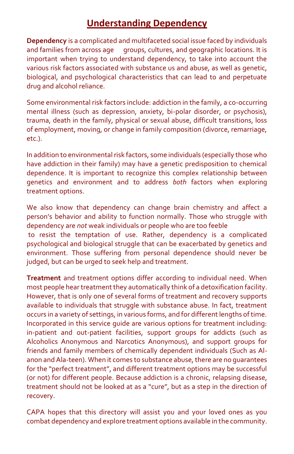#### **Understanding Dependency**

**Dependency** is a complicated and multifaceted social issue faced by individuals and families from across age groups, cultures, and geographic locations. It is important when trying to understand dependency, to take into account the various risk factors associated with substance us and abuse, as well as genetic, biological, and psychological characteristics that can lead to and perpetuate drug and alcohol reliance.

Some environmental risk factors include: addiction in the family, a co-occurring mental illness (such as depression, anxiety, bi-polar disorder, or psychosis), trauma, death in the family, physical or sexual abuse, difficult transitions, loss of employment, moving, or change in family composition (divorce, remarriage, etc.).

In addition to environmental risk factors, some individuals (especially those who have addiction in their family) may have a genetic predisposition to chemical dependence. It is important to recognize this complex relationship between genetics and environment and to address *both* factors when exploring treatment options.

We also know that dependency can change brain chemistry and affect a person's behavior and ability to function normally. Those who struggle with dependency are *not* weak individuals or people who are too feeble to resist the temptation of use. Rather, dependency is a complicated

psychological and biological struggle that can be exacerbated by genetics and environment. Those suffering from personal dependence should never be judged, but can be urged to seek help and treatment.

**Treatment** and treatment options differ according to individual need. When most people hear treatment they automatically think of a detoxification facility. However, that is only one of several forms of treatment and recovery supports available to individuals that struggle with substance abuse. In fact, treatment occurs in a variety of settings, in various forms, and for different lengths of time. Incorporated in this service guide are various options for treatment including: in-patient and out-patient facilities, support groups for addicts (such as Alcoholics Anonymous and Narcotics Anonymous), and support groups for friends and family members of chemically dependent individuals (Such as Alanon and Ala-teen). When it comes to substance abuse, there are no guarantees for the "perfect treatment", and different treatment options may be successful (or not) for different people. Because addiction is a chronic, relapsing disease, treatment should not be looked at as a "cure", but as a step in the direction of recovery.

CAPA hopes that this directory will assist you and your loved ones as you combat dependency and explore treatment options available in the community.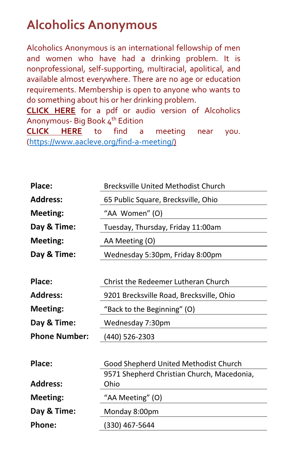### **Alcoholics Anonymous**

Alcoholics Anonymous is an international fellowship of men and women who have had a drinking problem. It is nonprofessional, self-supporting, multiracial, apolitical, and available almost everywhere. There are no age or education requirements. Membership is open to anyone who wants to do something about his or her drinking problem.

**[CLICK HERE](https://www.aa.org/pages/en_US/alcoholics-anonymous)** for a pdf or audio version of Alcoholics Anonymous- Big Book 4<sup>th</sup> Edition

**[CLICK HERE](https://www.aacleve.org/find-a-meeting/)** to find a meeting near you. [\(https://www.aacleve.org/find-a-meeting/\)](https://www.aacleve.org/find-a-meeting/)

| Place:               | <b>Brecksville United Methodist Church</b> |
|----------------------|--------------------------------------------|
| <b>Address:</b>      | 65 Public Square, Brecksville, Ohio        |
| Meeting:             | "AA Women" (O)                             |
| Day & Time:          | Tuesday, Thursday, Friday 11:00am          |
| <b>Meeting:</b>      | AA Meeting (O)                             |
| Day & Time:          | Wednesday 5:30pm, Friday 8:00pm            |
|                      |                                            |
| Place:               | Christ the Redeemer Lutheran Church        |
| <b>Address:</b>      | 9201 Brecksville Road, Brecksville, Ohio   |
| <b>Meeting:</b>      | "Back to the Beginning" (O)                |
| Day & Time:          | Wednesday 7:30pm                           |
| <b>Phone Number:</b> | (440) 526-2303                             |
|                      |                                            |
| Place:               | Good Shepherd United Methodist Church      |
|                      | 9571 Shepherd Christian Church, Macedonia, |
| <b>Address:</b>      | Ohio                                       |
| <b>Meeting:</b>      | "AA Meeting" (O)                           |
| Day & Time:          | Monday 8:00pm                              |
| <b>Phone:</b>        | (330) 467-5644                             |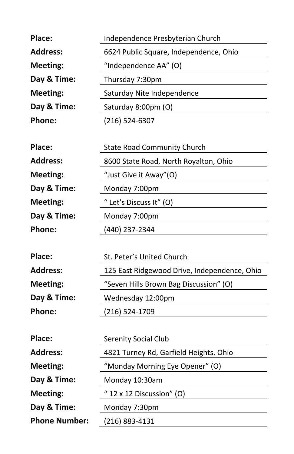| Place:               | Independence Presbyterian Church             |
|----------------------|----------------------------------------------|
| <b>Address:</b>      | 6624 Public Square, Independence, Ohio       |
| <b>Meeting:</b>      | "Independence AA" (O)                        |
| Day & Time:          | Thursday 7:30pm                              |
| <b>Meeting:</b>      | Saturday Nite Independence                   |
| Day & Time:          | Saturday 8:00pm (O)                          |
| <b>Phone:</b>        | $(216) 524 - 6307$                           |
|                      |                                              |
| Place:               | <b>State Road Community Church</b>           |
| <b>Address:</b>      | 8600 State Road, North Royalton, Ohio        |
| <b>Meeting:</b>      | "Just Give it Away"(O)                       |
| Day & Time:          | Monday 7:00pm                                |
| <b>Meeting:</b>      | " Let's Discuss It" (O)                      |
| Day & Time:          | Monday 7:00pm                                |
| <b>Phone:</b>        | (440) 237-2344                               |
|                      |                                              |
| Place:               | St. Peter's United Church                    |
| <b>Address:</b>      | 125 East Ridgewood Drive, Independence, Ohio |
| <b>Meeting:</b>      | "Seven Hills Brown Bag Discussion" (O)       |
| Day & Time:          | Wednesday 12:00pm                            |
| Phone:               | (216) 524-1709                               |
|                      |                                              |
| Place:               | Serenity Social Club                         |
| <b>Address:</b>      | 4821 Turney Rd, Garfield Heights, Ohio       |
| Meeting:             | "Monday Morning Eye Opener" (O)              |
| Day & Time:          | Monday 10:30am                               |
| Meeting:             | " $12 \times 12$ Discussion" (O)             |
| Day & Time:          | Monday 7:30pm                                |
| <b>Phone Number:</b> | (216) 883-4131                               |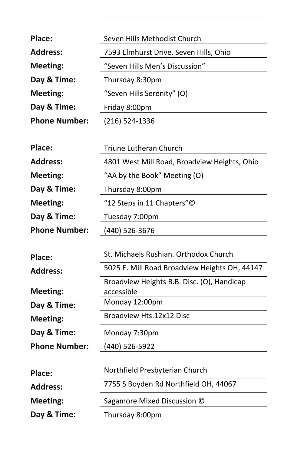| Place:               | Seven Hills Methodist Church                  |
|----------------------|-----------------------------------------------|
| <b>Address:</b>      | 7593 Elmhurst Drive, Seven Hills, Ohio        |
| Meeting:             | "Seven Hills Men's Discussion"                |
| Day & Time:          | Thursday 8:30pm                               |
| Meeting:             | "Seven Hills Serenity" (O)                    |
| Day & Time:          | Friday 8:00pm                                 |
| <b>Phone Number:</b> | (216) 524-1336                                |
|                      |                                               |
| Place:               | Triune Lutheran Church                        |
| <b>Address:</b>      | 4801 West Mill Road, Broadview Heights, Ohio  |
| <b>Meeting:</b>      | "AA by the Book" Meeting (O)                  |
| Day & Time:          | Thursday 8:00pm                               |
| Meeting:             | "12 Steps in 11 Chapters"©                    |
| Day & Time:          | Tuesday 7:00pm                                |
|                      |                                               |
| <b>Phone Number:</b> | (440) 526-3676                                |
|                      |                                               |
| Place:               | St. Michaels Rushian. Orthodox Church         |
| <b>Address:</b>      | 5025 E. Mill Road Broadview Heights OH, 44147 |
|                      | Broadview Heights B.B. Disc. (O), Handicap    |
| <b>Meeting:</b>      | accessible                                    |
| Day & Time:          | Monday 12:00pm<br>Broadview Hts.12x12 Disc    |
| Meeting:             |                                               |
| Day & Time:          | Monday 7:30pm                                 |
| <b>Phone Number:</b> | (440) 526-5922                                |
| Place:               | Northfield Presbyterian Church                |
| <b>Address:</b>      | 7755 S Boyden Rd Northfield OH, 44067         |
| <b>Meeting:</b>      | Sagamore Mixed Discussion ©                   |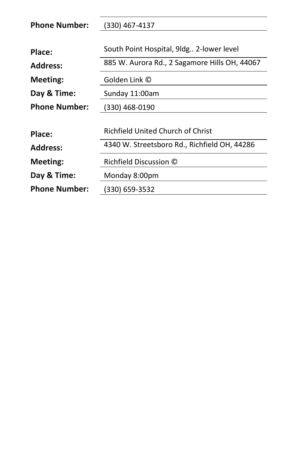| <b>Phone Number:</b> | (330) 467-4137                                |
|----------------------|-----------------------------------------------|
|                      |                                               |
| Place:               | South Point Hospital, 9ldg 2-lower level      |
| <b>Address:</b>      | 885 W. Aurora Rd., 2 Sagamore Hills OH, 44067 |
| Meeting:             | Golden Link ©                                 |
| Day & Time:          | Sunday 11:00am                                |
| <b>Phone Number:</b> | (330) 468-0190                                |
|                      |                                               |
| Place:               | Richfield United Church of Christ             |
| <b>Address:</b>      | 4340 W. Streetsboro Rd., Richfield OH, 44286  |
| Meeting:             | Richfield Discussion ©                        |
| Day & Time:          | Monday 8:00pm                                 |
| <b>Phone Number:</b> | (330) 659-3532                                |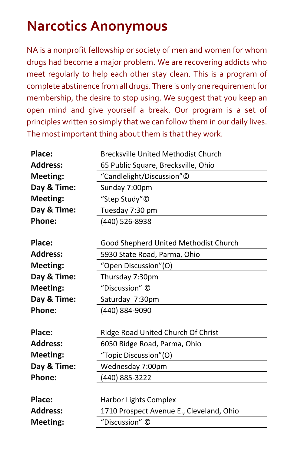## **Narcotics Anonymous**

NA is a nonprofit fellowship or society of men and women for whom drugs had become a major problem. We are recovering addicts who meet regularly to help each other stay clean. This is a program of complete abstinence from all drugs. There is only one requirement for membership, the desire to stop using. We suggest that you keep an open mind and give yourself a break. Our program is a set of principles written so simply that we can follow them in our daily lives. The most important thing about them is that they work.

| Place:          | <b>Brecksville United Methodist Church</b> |
|-----------------|--------------------------------------------|
| <b>Address:</b> | 65 Public Square, Brecksville, Ohio        |
| Meeting:        | "Candlelight/Discussion"©                  |
| Day & Time:     | Sunday 7:00pm                              |
| Meeting:        | "Step Study"©                              |
| Day & Time:     | Tuesday 7:30 pm                            |
| Phone:          | (440) 526-8938                             |
|                 |                                            |
| Place:          | Good Shepherd United Methodist Church      |
| <b>Address:</b> | 5930 State Road, Parma, Ohio               |
| Meeting:        | "Open Discussion"(O)                       |
| Day & Time:     | Thursday 7:30pm                            |
| Meeting:        | "Discussion" ©                             |
| Day & Time:     | Saturday 7:30pm                            |
| Phone:          | (440) 884-9090                             |
|                 |                                            |
| Place:          | Ridge Road United Church Of Christ         |
| <b>Address:</b> | 6050 Ridge Road, Parma, Ohio               |
| <b>Meeting:</b> | "Topic Discussion"(O)                      |
| Day & Time:     | Wednesday 7:00pm                           |
| <b>Phone:</b>   | (440) 885-3222                             |
|                 |                                            |
| Place:          | Harbor Lights Complex                      |
| <b>Address:</b> | 1710 Prospect Avenue E., Cleveland, Ohio   |
| Meeting:        | "Discussion" ©                             |
|                 |                                            |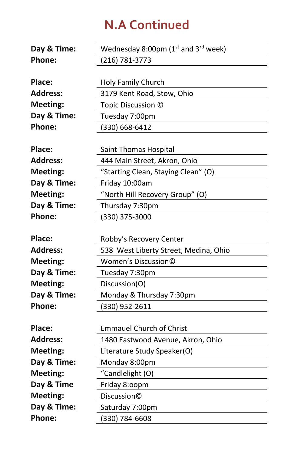## **N.A Continued**

| Day & Time:     | Wednesday 8:00pm $(1st$ and 3 <sup>rd</sup> week) |
|-----------------|---------------------------------------------------|
| Phone:          | (216) 781-3773                                    |
|                 |                                                   |
| Place:          | Holy Family Church                                |
| <b>Address:</b> | 3179 Kent Road, Stow, Ohio                        |
| <b>Meeting:</b> | Topic Discussion ©                                |
| Day & Time:     | Tuesday 7:00pm                                    |
| Phone:          | (330) 668-6412                                    |
|                 |                                                   |
| Place:          | Saint Thomas Hospital                             |
| <b>Address:</b> | 444 Main Street, Akron, Ohio                      |
| <b>Meeting:</b> | "Starting Clean, Staying Clean" (O)               |
| Day & Time:     | Friday 10:00am                                    |
| Meeting:        | "North Hill Recovery Group" (O)                   |
| Day & Time:     | Thursday 7:30pm                                   |
| Phone:          | (330) 375-3000                                    |
|                 |                                                   |
|                 |                                                   |
| Place:          | Robby's Recovery Center                           |
| <b>Address:</b> | 538 West Liberty Street, Medina, Ohio             |
| Meeting:        | Women's Discussion©                               |
| Day & Time:     | Tuesday 7:30pm                                    |
| Meeting:        | Discussion(O)                                     |
| Day & Time:     | Monday & Thursday 7:30pm                          |
| Phone:          | (330) 952-2611                                    |
|                 |                                                   |
| Place:          | <b>Emmauel Church of Christ</b>                   |
| <b>Address:</b> | 1480 Eastwood Avenue, Akron, Ohio                 |
| <b>Meeting:</b> | Literature Study Speaker(O)                       |
| Day & Time:     | Monday 8:00pm                                     |
| Meeting:        | "Candlelight (O)                                  |
| Day & Time      | Friday 8:00pm                                     |
| Meeting:        | Discussion©                                       |
| Day & Time:     | Saturday 7:00pm                                   |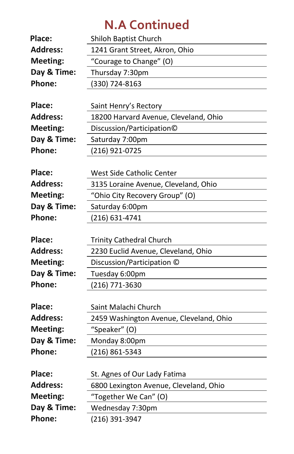## **N.A Continued**

| Place:          | Shiloh Baptist Church                   |
|-----------------|-----------------------------------------|
| <b>Address:</b> | 1241 Grant Street, Akron, Ohio          |
| <b>Meeting:</b> | "Courage to Change" (O)                 |
| Day & Time:     | Thursday 7:30pm                         |
| Phone:          | (330) 724-8163                          |
|                 |                                         |
| Place:          | Saint Henry's Rectory                   |
| <b>Address:</b> | 18200 Harvard Avenue, Cleveland, Ohio   |
| Meeting:        | Discussion/Participation©               |
| Day & Time:     | Saturday 7:00pm                         |
| Phone:          | (216) 921-0725                          |
|                 |                                         |
| Place:          | <b>West Side Catholic Center</b>        |
| <b>Address:</b> | 3135 Loraine Avenue, Cleveland, Ohio    |
| <b>Meeting:</b> | "Ohio City Recovery Group" (O)          |
| Day & Time:     | Saturday 6:00pm                         |
| Phone:          | (216) 631-4741                          |
|                 |                                         |
| Place:          | <b>Trinity Cathedral Church</b>         |
| <b>Address:</b> | 2230 Euclid Avenue, Cleveland, Ohio     |
| <b>Meeting:</b> | Discussion/Participation ©              |
| Day & Time:     | Tuesday 6:00pm                          |
| Phone:          | (216) 771-3630                          |
|                 |                                         |
| Place:          | Saint Malachi Church                    |
| <b>Address:</b> | 2459 Washington Avenue, Cleveland, Ohio |
| <b>Meeting:</b> | "Speaker" (O)                           |
| Day & Time:     | Monday 8:00pm                           |
| Phone:          | (216) 861-5343                          |
|                 |                                         |
| Place:          | St. Agnes of Our Lady Fatima            |
| <b>Address:</b> | 6800 Lexington Avenue, Cleveland, Ohio  |
| Meeting:        | "Together We Can" (O)                   |
| Day & Time:     | Wednesday 7:30pm                        |
| Phone:          | (216) 391-3947                          |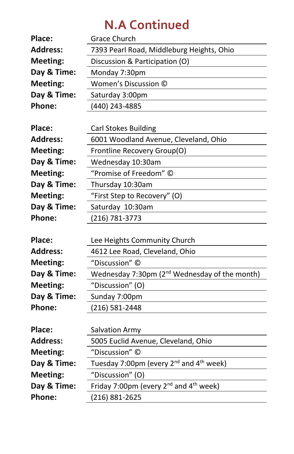## **N.A Continued**

| Place:          | <b>Grace Church</b>                                             |
|-----------------|-----------------------------------------------------------------|
| <b>Address:</b> | 7393 Pearl Road, Middleburg Heights, Ohio                       |
| Meeting:        | Discussion & Participation (O)                                  |
| Day & Time:     | Monday 7:30pm                                                   |
| Meeting:        | Women's Discussion ©                                            |
| Day & Time:     | Saturday 3:00pm                                                 |
| <b>Phone:</b>   | (440) 243-4885                                                  |
|                 |                                                                 |
| Place:          | <b>Carl Stokes Building</b>                                     |
| <b>Address:</b> | 6001 Woodland Avenue, Cleveland, Ohio                           |
| Meeting:        | Frontline Recovery Group(O)                                     |
| Day & Time:     | Wednesday 10:30am                                               |
| Meeting:        | "Promise of Freedom" ©                                          |
| Day & Time:     | Thursday 10:30am                                                |
| Meeting:        | "First Step to Recovery" (O)                                    |
| Day & Time:     | Saturday 10:30am                                                |
| Phone:          | (216) 781-3773                                                  |
|                 |                                                                 |
| Place:          | Lee Heights Community Church                                    |
| <b>Address:</b> | 4612 Lee Road, Cleveland, Ohio                                  |
| Meeting:        | "Discussion" ©                                                  |
| Day & Time:     | Wednesday 7:30pm (2 <sup>nd</sup> Wednesday of the month)       |
| <b>Meeting:</b> | "Discussion" (O)                                                |
| Day & Time:     | Sunday 7:00pm                                                   |
| <b>Phone:</b>   | (216) 581-2448                                                  |
|                 |                                                                 |
| Place:          | <b>Salvation Army</b>                                           |
| <b>Address:</b> | 5005 Euclid Avenue, Cleveland, Ohio                             |
| Meeting:        | "Discussion" ©                                                  |
| Day & Time:     | Tuesday 7:00pm (every 2 <sup>nd</sup> and 4 <sup>th</sup> week) |
| Meeting:        | "Discussion" (O)                                                |
| Day & Time:     | Friday 7:00pm (every 2 <sup>nd</sup> and 4 <sup>th</sup> week)  |
| Phone:          | (216) 881-2625                                                  |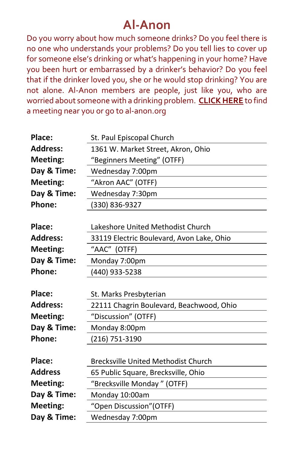### **Al-Anon**

Do you worry about how much someone drinks? Do you feel there is no one who understands your problems? Do you tell lies to cover up for someone else's drinking or what's happening in your home? Have you been hurt or embarrassed by a drinker's behavior? Do you feel that if the drinker loved you, she or he would stop drinking? You are not alone. Al-Anon members are people, just like you, who are worried about someone with a drinking problem. **[CLICK HERE](http://al-anon.org/al-anon-meetings/find-an-al-anon-meeting/)** to find a meeting near you or go to al-anon.org

| Place:          | St. Paul Episcopal Church                  |
|-----------------|--------------------------------------------|
| <b>Address:</b> | 1361 W. Market Street, Akron, Ohio         |
| Meeting:        | "Beginners Meeting" (OTFF)                 |
| Day & Time:     | Wednesday 7:00pm                           |
| Meeting:        | "Akron AAC" (OTFF)                         |
| Day & Time:     | Wednesday 7:30pm                           |
| Phone:          | (330) 836-9327                             |
|                 |                                            |
| Place:          | Lakeshore United Methodist Church          |
| <b>Address:</b> | 33119 Electric Boulevard, Avon Lake, Ohio  |
| Meeting:        | "AAC" (OTFF)                               |
| Day & Time:     | Monday 7:00pm                              |
| Phone:          | (440) 933-5238                             |
|                 |                                            |
|                 |                                            |
| Place:          | St. Marks Presbyterian                     |
| <b>Address:</b> | 22111 Chagrin Boulevard, Beachwood, Ohio   |
| Meeting:        | "Discussion" (OTFF)                        |
| Day & Time:     | Monday 8:00pm                              |
| Phone:          | (216) 751-3190                             |
|                 |                                            |
| Place:          | <b>Brecksville United Methodist Church</b> |
| <b>Address</b>  | 65 Public Square, Brecksville, Ohio        |
| <b>Meeting:</b> | "Brecksville Monday" (OTFF)                |
| Day & Time:     | Monday 10:00am                             |
| Meeting:        | "Open Discussion" (OTFF)                   |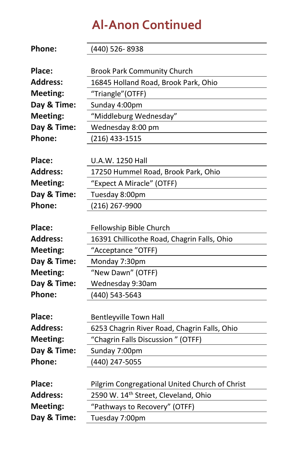| Phone:          | (440) 526-8938                                   |
|-----------------|--------------------------------------------------|
|                 |                                                  |
| Place:          | <b>Brook Park Community Church</b>               |
| <b>Address:</b> | 16845 Holland Road, Brook Park, Ohio             |
| Meeting:        | "Triangle" (OTFF)                                |
| Day & Time:     | Sunday 4:00pm                                    |
| Meeting:        | "Middleburg Wednesday"                           |
| Day & Time:     | Wednesday 8:00 pm                                |
| Phone:          | (216) 433-1515                                   |
|                 |                                                  |
| Place:          | U.A.W. 1250 Hall                                 |
| <b>Address:</b> | 17250 Hummel Road, Brook Park, Ohio              |
| Meeting:        | "Expect A Miracle" (OTFF)                        |
| Day & Time:     | Tuesday 8:00pm                                   |
| Phone:          | (216) 267-9900                                   |
|                 |                                                  |
| Place:          | Fellowship Bible Church                          |
| <b>Address:</b> | 16391 Chillicothe Road, Chagrin Falls, Ohio      |
| <b>Meeting:</b> | "Acceptance "OTFF)                               |
| Day & Time:     | Monday 7:30pm                                    |
| Meeting:        | "New Dawn" (OTFF)                                |
| Day & Time:     | Wednesday 9:30am                                 |
| Phone:          | (440) 543-5643                                   |
|                 |                                                  |
| Place:          | <b>Bentleyville Town Hall</b>                    |
| <b>Address:</b> | 6253 Chagrin River Road, Chagrin Falls, Ohio     |
| Meeting:        | "Chagrin Falls Discussion" (OTFF)                |
| Day & Time:     | Sunday 7:00pm                                    |
| Phone:          | (440) 247-5055                                   |
|                 |                                                  |
| Place:          | Pilgrim Congregational United Church of Christ   |
| <b>Address:</b> | 2590 W. 14 <sup>th</sup> Street, Cleveland, Ohio |
| <b>Meeting:</b> | "Pathways to Recovery" (OTFF)                    |
| Day & Time:     | Tuesday 7:00pm                                   |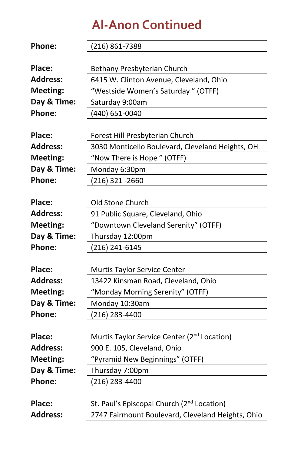| Phone:          | (216) 861-7388                                          |
|-----------------|---------------------------------------------------------|
|                 |                                                         |
| Place:          | Bethany Presbyterian Church                             |
| <b>Address:</b> | 6415 W. Clinton Avenue, Cleveland, Ohio                 |
| <b>Meeting:</b> | "Westside Women's Saturday" (OTFF)                      |
| Day & Time:     | Saturday 9:00am                                         |
| Phone:          | (440) 651-0040                                          |
|                 |                                                         |
| Place:          | Forest Hill Presbyterian Church                         |
| <b>Address:</b> | 3030 Monticello Boulevard, Cleveland Heights, OH        |
| Meeting:        | "Now There is Hope" (OTFF)                              |
| Day & Time:     | Monday 6:30pm                                           |
| Phone:          | (216) 321-2660                                          |
|                 |                                                         |
| Place:          | Old Stone Church                                        |
| <b>Address:</b> | 91 Public Square, Cleveland, Ohio                       |
| <b>Meeting:</b> | "Downtown Cleveland Serenity" (OTFF)                    |
| Day & Time:     | Thursday 12:00pm                                        |
| Phone:          | (216) 241-6145                                          |
|                 |                                                         |
| Place:          | Murtis Taylor Service Center                            |
| <b>Address:</b> | 13422 Kinsman Road, Cleveland, Ohio                     |
| <b>Meeting:</b> | "Monday Morning Serenity" (OTFF)                        |
| Day & Time:     | Monday 10:30am                                          |
| Phone:          | (216) 283-4400                                          |
|                 |                                                         |
| Place:          | Murtis Taylor Service Center (2 <sup>nd</sup> Location) |
| <b>Address:</b> | 900 E. 105, Cleveland, Ohio                             |
| <b>Meeting:</b> | "Pyramid New Beginnings" (OTFF)                         |
| Day & Time:     | Thursday 7:00pm                                         |
| Phone:          | (216) 283-4400                                          |
|                 |                                                         |
| Place:          | St. Paul's Episcopal Church (2 <sup>nd</sup> Location)  |
| <b>Address:</b> | 2747 Fairmount Boulevard, Cleveland Heights, Ohio       |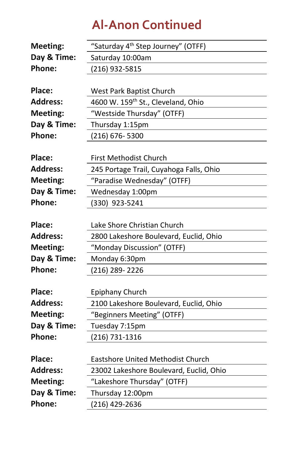| <b>Meeting:</b> | "Saturday 4 <sup>th</sup> Step Journey" (OTFF) |  |
|-----------------|------------------------------------------------|--|
| Day & Time:     | Saturday 10:00am                               |  |
| Phone:          | (216) 932-5815                                 |  |
|                 |                                                |  |
| Place:          | West Park Baptist Church                       |  |
| <b>Address:</b> | 4600 W. 159 <sup>th</sup> St., Cleveland, Ohio |  |
| Meeting:        | "Westside Thursday" (OTFF)                     |  |
| Day & Time:     | Thursday 1:15pm                                |  |
| Phone:          | (216) 676-5300                                 |  |
|                 |                                                |  |
| Place:          | First Methodist Church                         |  |
| <b>Address:</b> | 245 Portage Trail, Cuyahoga Falls, Ohio        |  |
| <b>Meeting:</b> | "Paradise Wednesday" (OTFF)                    |  |
| Day & Time:     | Wednesday 1:00pm                               |  |
| <b>Phone:</b>   | (330) 923-5241                                 |  |
|                 |                                                |  |
| Place:          | Lake Shore Christian Church                    |  |
| <b>Address:</b> | 2800 Lakeshore Boulevard, Euclid, Ohio         |  |
| Meeting:        | "Monday Discussion" (OTFF)                     |  |
| Day & Time:     | Monday 6:30pm                                  |  |
| Phone:          | (216) 289-2226                                 |  |
|                 |                                                |  |
| Place:          | Epiphany Church                                |  |
| <b>Address:</b> | 2100 Lakeshore Boulevard, Euclid, Ohio         |  |
| <b>Meeting:</b> | "Beginners Meeting" (OTFF)                     |  |
| Day & Time:     | Tuesday 7:15pm                                 |  |
| <b>Phone:</b>   | (216) 731-1316                                 |  |
|                 |                                                |  |
| Place:          | Eastshore United Methodist Church              |  |
| <b>Address:</b> | 23002 Lakeshore Boulevard, Euclid, Ohio        |  |
| Meeting:        | "Lakeshore Thursday" (OTFF)                    |  |
| Day & Time:     | Thursday 12:00pm                               |  |
| Phone:          | (216) 429-2636                                 |  |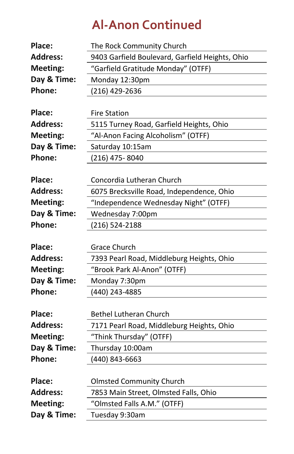| Place:          | The Rock Community Church                       |
|-----------------|-------------------------------------------------|
| <b>Address:</b> | 9403 Garfield Boulevard, Garfield Heights, Ohio |
| Meeting:        | "Garfield Gratitude Monday" (OTFF)              |
| Day & Time:     | Monday 12:30pm                                  |
| Phone:          | (216) 429-2636                                  |
|                 |                                                 |
| Place:          | <b>Fire Station</b>                             |
| <b>Address:</b> | 5115 Turney Road, Garfield Heights, Ohio        |
| Meeting:        | "Al-Anon Facing Alcoholism" (OTFF)              |
| Day & Time:     | Saturday 10:15am                                |
| Phone:          | (216) 475-8040                                  |
|                 |                                                 |
| Place:          | Concordia Lutheran Church                       |
| <b>Address:</b> | 6075 Brecksville Road, Independence, Ohio       |
| <b>Meeting:</b> | "Independence Wednesday Night" (OTFF)           |
| Day & Time:     | Wednesday 7:00pm                                |
| <b>Phone:</b>   | (216) 524-2188                                  |
|                 |                                                 |
|                 |                                                 |
| Place:          | <b>Grace Church</b>                             |
| <b>Address:</b> | 7393 Pearl Road, Middleburg Heights, Ohio       |
| Meeting:        | "Brook Park Al-Anon" (OTFF)                     |
| Day & Time:     | Monday 7:30pm                                   |
| Phone:          | (440) 243-4885                                  |
|                 |                                                 |
| Place:          | Bethel Lutheran Church                          |
| <b>Address:</b> | 7171 Pearl Road, Middleburg Heights, Ohio       |
| <b>Meeting:</b> | "Think Thursday" (OTFF)                         |
| Day & Time:     | Thursday 10:00am                                |
| Phone:          | (440) 843-6663                                  |
|                 |                                                 |
| Place:          | <b>Olmsted Community Church</b>                 |
| <b>Address:</b> | 7853 Main Street, Olmsted Falls, Ohio           |
| Meeting:        | "Olmsted Falls A.M." (OTFF)<br>Tuesday 9:30am   |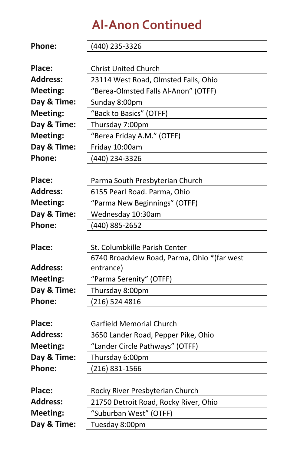| Phone:          | (440) 235-3326                              |  |
|-----------------|---------------------------------------------|--|
|                 |                                             |  |
| Place:          | <b>Christ United Church</b>                 |  |
| <b>Address:</b> | 23114 West Road, Olmsted Falls, Ohio        |  |
| Meeting:        | "Berea-Olmsted Falls Al-Anon" (OTFF)        |  |
| Day & Time:     | Sunday 8:00pm                               |  |
| <b>Meeting:</b> | "Back to Basics" (OTFF)                     |  |
| Day & Time:     | Thursday 7:00pm                             |  |
| <b>Meeting:</b> | "Berea Friday A.M." (OTFF)                  |  |
| Day & Time:     | Friday 10:00am                              |  |
| Phone:          | (440) 234-3326                              |  |
|                 |                                             |  |
| Place:          | Parma South Presbyterian Church             |  |
| <b>Address:</b> | 6155 Pearl Road. Parma, Ohio                |  |
| <b>Meeting:</b> | "Parma New Beginnings" (OTFF)               |  |
| Day & Time:     | Wednesday 10:30am                           |  |
| Phone:          | (440) 885-2652                              |  |
|                 |                                             |  |
| Place:          | St. Columbkille Parish Center               |  |
|                 | 6740 Broadview Road, Parma, Ohio *(far west |  |
| <b>Address:</b> | entrance)                                   |  |
| <b>Meeting:</b> | "Parma Serenity" (OTFF)                     |  |
| Day & Time:     | Thursday 8:00pm                             |  |
| Phone:          | (216) 524 4816                              |  |
|                 |                                             |  |
| Place:          | <b>Garfield Memorial Church</b>             |  |
| <b>Address:</b> | 3650 Lander Road, Pepper Pike, Ohio         |  |
| <b>Meeting:</b> | "Lander Circle Pathways" (OTFF)             |  |
| Day & Time:     | Thursday 6:00pm                             |  |
| <b>Phone:</b>   | (216) 831-1566                              |  |
|                 |                                             |  |
| Place:          | Rocky River Presbyterian Church             |  |
| <b>Address:</b> | 21750 Detroit Road, Rocky River, Ohio       |  |
| Meeting:        | "Suburban West" (OTFF)                      |  |
| Day & Time:     | Tuesday 8:00pm                              |  |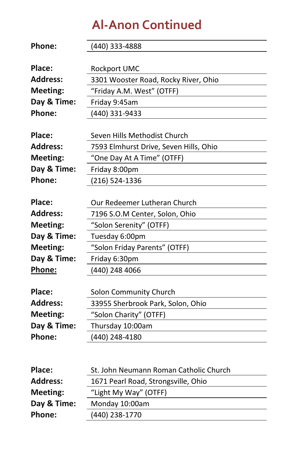| <b>Phone:</b>   | (440) 333-4888                         |  |
|-----------------|----------------------------------------|--|
|                 |                                        |  |
| Place:          | <b>Rockport UMC</b>                    |  |
| <b>Address:</b> | 3301 Wooster Road, Rocky River, Ohio   |  |
| Meeting:        | "Friday A.M. West" (OTFF)              |  |
| Day & Time:     | Friday 9:45am                          |  |
| Phone:          | (440) 331-9433                         |  |
|                 |                                        |  |
| Place:          | Seven Hills Methodist Church           |  |
| <b>Address:</b> | 7593 Elmhurst Drive, Seven Hills, Ohio |  |
| Meeting:        | "One Day At A Time" (OTFF)             |  |
| Day & Time:     | Friday 8:00pm                          |  |
| Phone:          | (216) 524-1336                         |  |
|                 |                                        |  |
| Place:          | Our Redeemer Lutheran Church           |  |
| <b>Address:</b> | 7196 S.O.M Center, Solon, Ohio         |  |
| Meeting:        | "Solon Serenity" (OTFF)                |  |
| Day & Time:     | Tuesday 6:00pm                         |  |
| Meeting:        | "Solon Friday Parents" (OTFF)          |  |
| Day & Time:     | Friday 6:30pm                          |  |
| Phone:          | (440) 248 4066                         |  |
|                 |                                        |  |
| Place:          | Solon Community Church                 |  |
| <b>Address:</b> | 33955 Sherbrook Park, Solon, Ohio      |  |
| Meeting:        | "Solon Charity" (OTFF)                 |  |
| Day & Time:     | Thursday 10:00am                       |  |
| Phone:          | (440) 248-4180                         |  |
|                 |                                        |  |
|                 |                                        |  |
| Place:          | St. John Neumann Roman Catholic Church |  |
| <b>Address:</b> | 1671 Pearl Road, Strongsville, Ohio    |  |
| Maating:        | "Light My $M_{2}y''$ (OTEE)            |  |

| Meeting:    | "Light My Way" (OTFF) |
|-------------|-----------------------|
| Day & Time: | Monday 10:00am        |
| Phone:      | (440) 238-1770        |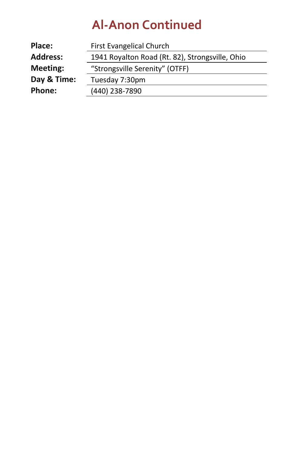| <b>Address:</b><br>1941 Royalton Road (Rt. 82), Strongsville, Ohio |
|--------------------------------------------------------------------|
| Meeting:<br>"Strongsville Serenity" (OTFF)                         |
| Day & Time:<br>Tuesday 7:30pm                                      |
| Phone:<br>(440) 238-7890                                           |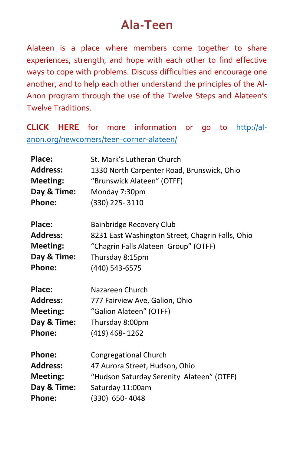### **Ala-Teen**

Alateen is a place where members come together to share experiences, strength, and hope with each other to find effective ways to cope with problems. Discuss difficulties and encourage one another, and to help each other understand the principles of the Al-Anon program through the use of the Twelve Steps and Alateen's Twelve Traditions.

**[CLICK HERE](http://al-anon.org/newcomers/teen-corner-alateen/)** for more information or go to [http://al](http://al-anon.org/newcomers/teen-corner-alateen/)[anon.org/newcomers/teen-corner-alateen/](http://al-anon.org/newcomers/teen-corner-alateen/)

| Place:          | St. Mark's Lutheran Church                       |
|-----------------|--------------------------------------------------|
| <b>Address:</b> | 1330 North Carpenter Road, Brunswick, Ohio       |
| Meeting:        | "Brunswick Alateen" (OTFF)                       |
| Day & Time:     | Monday 7:30pm                                    |
| Phone:          | (330) 225-3110                                   |
| Place:          | Bainbridge Recovery Club                         |
| <b>Address:</b> | 8231 East Washington Street, Chagrin Falls, Ohio |
| Meeting:        | "Chagrin Falls Alateen Group" (OTFF)             |
| Day & Time:     | Thursday 8:15pm                                  |
| Phone:          | (440) 543-6575                                   |
| Place:          | Nazareen Church                                  |
| <b>Address:</b> | 777 Fairview Ave, Galion, Ohio                   |
| Meeting:        | "Galion Alateen" (OTFF)                          |
| Day & Time:     | Thursday 8:00pm                                  |
| <b>Phone:</b>   | (419) 468-1262                                   |
| Phone:          | <b>Congregational Church</b>                     |
| <b>Address:</b> | 47 Aurora Street, Hudson, Ohio                   |
| Meeting:        | "Hudson Saturday Serenity Alateen" (OTFF)        |
| Day & Time:     | Saturday 11:00am                                 |
| Phone:          | (330) 650-4048                                   |
|                 |                                                  |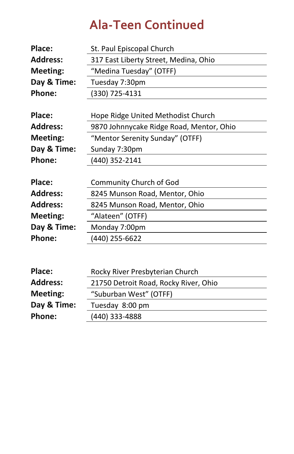### **Ala-Teen Continued**

| Place:          | St. Paul Episcopal Church                |
|-----------------|------------------------------------------|
| <b>Address:</b> | 317 East Liberty Street, Medina, Ohio    |
| Meeting:        | "Medina Tuesday" (OTFF)                  |
| Day & Time:     | Tuesday 7:30pm                           |
| Phone:          | (330) 725-4131                           |
|                 |                                          |
| Place:          | Hope Ridge United Methodist Church       |
| <b>Address:</b> | 9870 Johnnycake Ridge Road, Mentor, Ohio |
| Meeting:        | "Mentor Serenity Sunday" (OTFF)          |
| Day & Time:     | Sunday 7:30pm                            |
| Phone:          | (440) 352-2141                           |
|                 |                                          |
| Place:          | Community Church of God                  |
| <b>Address:</b> | 8245 Munson Road, Mentor, Ohio           |
| <b>Address:</b> | 8245 Munson Road, Mentor, Ohio           |
| Meeting:        | "Alateen" (OTFF)                         |
| Day & Time:     | Monday 7:00pm                            |
| <b>Phone:</b>   | (440) 255-6622                           |
|                 |                                          |

| Place:          | Rocky River Presbyterian Church       |
|-----------------|---------------------------------------|
| <b>Address:</b> | 21750 Detroit Road, Rocky River, Ohio |
| Meeting:        | "Suburban West" (OTFF)                |
| Day & Time:     | Tuesday 8:00 pm                       |
| Phone:          | (440) 333-4888                        |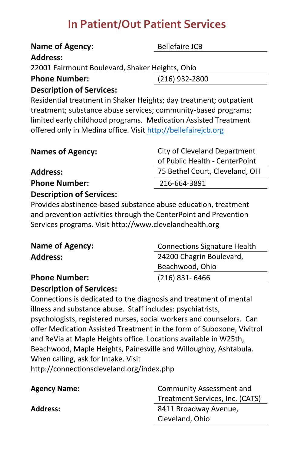#### **Name of Agency:** Bellefaire JCB **Address:** 22001 Fairmount Boulevard, Shaker Heights, Ohio **Phone Number:** (216) 932-2800 **Description of Services:**

Residential treatment in Shaker Heights; day treatment; outpatient treatment; substance abuse services; community-based programs; limited early childhood programs. Medication Assisted Treatment offered only in Medina office. Visit [http://bellefairejcb.org](http://bellefairejcb.org/)

| <b>Names of Agency:</b>         | City of Cleveland Department   |
|---------------------------------|--------------------------------|
|                                 | of Public Health - CenterPoint |
| <b>Address:</b>                 | 75 Bethel Court, Cleveland, OH |
| <b>Phone Number:</b>            | 216-664-3891                   |
| <b>Description of Services:</b> |                                |

Provides abstinence-based substance abuse education, treatment and prevention activities through the CenterPoint and Prevention Services programs. Visit http://www.clevelandhealth.org

| <b>Name of Agency:</b> | <b>Connections Signature Health</b> |
|------------------------|-------------------------------------|
| Address:               | 24200 Chagrin Boulevard,            |
|                        | Beachwood, Ohio                     |
| <b>Phone Number:</b>   | $(216)$ 831-6466                    |
|                        |                                     |

#### **Description of Services:**

Connections is dedicated to the diagnosis and treatment of mental illness and substance abuse. Staff includes: psychiatrists, psychologists, registered nurses, social workers and counselors. Can offer Medication Assisted Treatment in the form of Suboxone, Vivitrol and ReVia at Maple Heights office. Locations available in W25th, Beachwood, Maple Heights, Painesville and Willoughby, Ashtabula. When calling, ask for Intake. Visit http://connectionscleveland.org/index.php

| <b>Agency Name:</b> | Community Assessment and        |
|---------------------|---------------------------------|
|                     | Treatment Services, Inc. (CATS) |
| <b>Address:</b>     | 8411 Broadway Avenue,           |
|                     | Cleveland, Ohio                 |
|                     |                                 |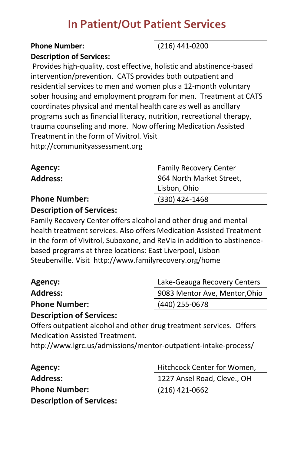#### **Phone Number:** (216) 441-0200 **Description of Services:**

Provides high-quality, cost effective, holistic and abstinence-based intervention/prevention. CATS provides both outpatient and residential services to men and women plus a 12-month voluntary sober housing and employment program for men. Treatment at CATS coordinates physical and mental health care as well as ancillary programs such as financial literacy, nutrition, recreational therapy, trauma counseling and more. Now offering Medication Assisted Treatment in the form of Vivitrol. Visit http://communityassessment.org

| Agency:              | <b>Family Recovery Center</b> |
|----------------------|-------------------------------|
| <b>Address:</b>      | 964 North Market Street,      |
|                      | Lisbon, Ohio                  |
| <b>Phone Number:</b> | $(330)$ 424-1468              |
|                      |                               |

**Description of Services:**

Family Recovery Center offers alcohol and other drug and mental health treatment services. Also offers Medication Assisted Treatment in the form of Vivitrol, Suboxone, and ReVia in addition to abstinencebased programs at three locations: East Liverpool, Lisbon Steubenville. Visit http://www.familyrecovery.org/home

| Agency:              | Lake-Geauga Recovery Centers  |
|----------------------|-------------------------------|
| <b>Address:</b>      | 9083 Mentor Ave, Mentor, Ohio |
| <b>Phone Number:</b> | (440) 255-0678                |

**Description of Services:**

Offers outpatient alcohol and other drug treatment services. Offers Medication Assisted Treatment.

http://www.lgrc.us/admissions/mentor-outpatient-intake-process/

| Agency:                         |  |
|---------------------------------|--|
| <b>Address:</b>                 |  |
| <b>Phone Number:</b>            |  |
| <b>Description of Services:</b> |  |

**Agency:** Hitchcock Center for Women, **Address:** 1227 Ansel Road, Cleve., OH **Phone Number:** (216) 421-0662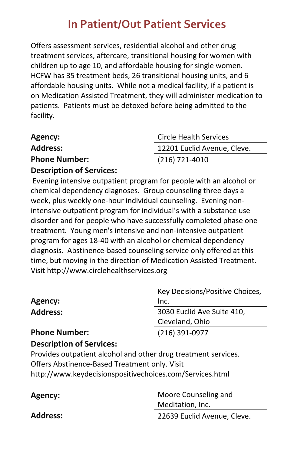Offers assessment services, residential alcohol and other drug treatment services, aftercare, transitional housing for women with children up to age 10, and affordable housing for single women. HCFW has 35 treatment beds, 26 transitional housing units, and 6 affordable housing units. While not a medical facility, if a patient is on Medication Assisted Treatment, they will administer medication to patients. Patients must be detoxed before being admitted to the facility.

| Agency:                         | Circle Health Services      |
|---------------------------------|-----------------------------|
| <b>Address:</b>                 | 12201 Euclid Avenue, Cleve. |
| <b>Phone Number:</b>            | $(216)$ 721-4010            |
| <b>Description of Services:</b> |                             |

Evening intensive outpatient program for people with an alcohol or chemical dependency diagnoses. Group counseling three days a week, plus weekly one-hour individual counseling. Evening nonintensive outpatient program for individual's with a substance use disorder and for people who have successfully completed phase one treatment. Young men's intensive and non-intensive outpatient program for ages 18-40 with an alcohol or chemical dependency diagnosis. Abstinence-based counseling service only offered at this time, but moving in the direction of Medication Assisted Treatment. Visit http://www.circlehealthservices.org

#### **Agency:** Key Decisions/Positive Choices, Inc. **Address:** 3030 Euclid Ave Suite 410, Cleveland, Ohio **Phone Number:** (216) 391-0977

#### **Description of Services:**

Provides outpatient alcohol and other drug treatment services. Offers Abstinence-Based Treatment only. Visit http://www.keydecisionspositivechoices.com/Services.html

| Moore Counseling and        |
|-----------------------------|
| Meditation, Inc.            |
| 22639 Euclid Avenue, Cleve. |
|                             |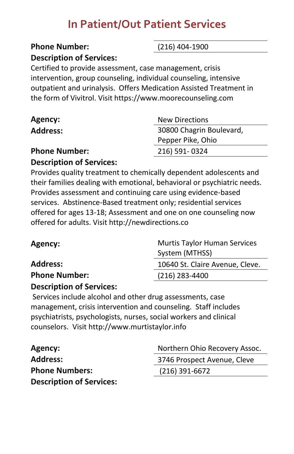#### **Phone Number:** (216) 404-1900 **Description of Services:**

Certified to provide assessment, case management, crisis intervention, group counseling, individual counseling, intensive outpatient and urinalysis. Offers Medication Assisted Treatment in the form of Vivitrol. Visit https://www.moorecounseling.com

| Agency:              | <b>New Directions</b>    |
|----------------------|--------------------------|
| <b>Address:</b>      | 30800 Chagrin Boulevard, |
|                      | Pepper Pike, Ohio        |
| <b>Phone Number:</b> | 216) 591-0324            |
|                      |                          |

#### **Description of Services:**

Provides quality treatment to chemically dependent adolescents and their families dealing with emotional, behavioral or psychiatric needs. Provides assessment and continuing care using evidence-based services. Abstinence-Based treatment only; residential services offered for ages 13-18; Assessment and one on one counseling now offered for adults. Visit http://newdirections.co

| Agency:                         | Murtis Taylor Human Services    |
|---------------------------------|---------------------------------|
|                                 | System (MTHSS)                  |
| <b>Address:</b>                 | 10640 St. Claire Avenue, Cleve. |
| <b>Phone Number:</b>            | $(216)$ 283-4400                |
| <b>Description of Services:</b> |                                 |

Services include alcohol and other drug assessments, case management, crisis intervention and counseling. Staff includes psychiatrists, psychologists, nurses, social workers and clinical counselors. Visit http://www.murtistaylor.info

| Agency:                         | Northern Ohio Recovery Assoc. |
|---------------------------------|-------------------------------|
| <b>Address:</b>                 | 3746 Prospect Avenue, Cleve   |
| <b>Phone Numbers:</b>           | $(216)$ 391-6672              |
| <b>Description of Services:</b> |                               |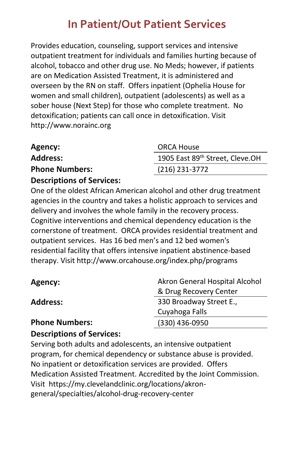Provides education, counseling, support services and intensive outpatient treatment for individuals and families hurting because of alcohol, tobacco and other drug use. No Meds; however, if patients are on Medication Assisted Treatment, it is administered and overseen by the RN on staff. Offers inpatient (Ophelia House for women and small children), outpatient (adolescents) as well as a sober house (Next Step) for those who complete treatment. No detoxification; patients can call once in detoxification. Visit http://www.norainc.org

| Agency:                          | <b>ORCA House</b>               |
|----------------------------------|---------------------------------|
| <b>Address:</b>                  | 1905 East 89th Street, Cleve.OH |
| <b>Phone Numbers:</b>            | $(216)$ 231-3772                |
| <b>Descriptions of Services:</b> |                                 |

One of the oldest African American alcohol and other drug treatment agencies in the country and takes a holistic approach to services and delivery and involves the whole family in the recovery process. Cognitive interventions and chemical dependency education is the cornerstone of treatment. ORCA provides residential treatment and outpatient services. Has 16 bed men's and 12 bed women's residential facility that offers intensive inpatient abstinence-based therapy. Visit http://www.orcahouse.org/index.php/programs

#### **Agency:** Akron General Hospital Alcohol & Drug Recovery Center **Address:** 330 Broadway Street E., Cuyahoga Falls **Phone Numbers:** (330) 436-0950

#### **Descriptions of Services:**

Serving both adults and adolescents, an intensive outpatient program, for chemical dependency or substance abuse is provided. No inpatient or detoxification services are provided. Offers Medication Assisted Treatment. Accredited by the Joint Commission. Visit https://my.clevelandclinic.org/locations/akrongeneral/specialties/alcohol-drug-recovery-center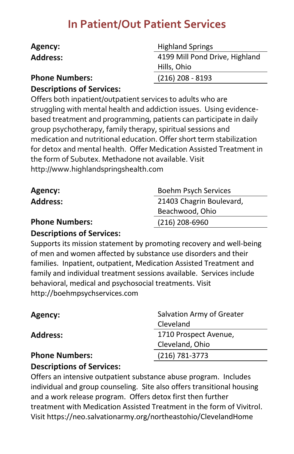| Agency:               | <b>Highland Springs</b>        |
|-----------------------|--------------------------------|
| <b>Address:</b>       | 4199 Mill Pond Drive, Highland |
|                       | Hills, Ohio                    |
| <b>Phone Numbers:</b> | $(216)$ 208 - 8193             |

#### **Descriptions of Services:**

Offers both inpatient/outpatient services to adults who are struggling with mental health and addiction issues. Using evidencebased treatment and programming, patients can participate in daily group psychotherapy, family therapy, spiritual sessions and medication and nutritional education. Offer short term stabilization for detox and mental health. Offer Medication Assisted Treatment in the form of Subutex. Methadone not available. Visit http://www.highlandspringshealth.com

| Agency:               | Boehm Psych Services     |
|-----------------------|--------------------------|
| <b>Address:</b>       | 21403 Chagrin Boulevard, |
|                       | Beachwood, Ohio          |
| <b>Phone Numbers:</b> | $(216)$ 208-6960         |
|                       |                          |

#### **Descriptions of Services:**

Supports its mission statement by promoting recovery and well-being of men and women affected by substance use disorders and their families. Inpatient, outpatient, Medication Assisted Treatment and family and individual treatment sessions available. Services include behavioral, medical and psychosocial treatments. Visit http://boehmpsychservices.com

| Agency:               | Salvation Army of Greater<br>Cleveland |
|-----------------------|----------------------------------------|
| <b>Address:</b>       | 1710 Prospect Avenue,                  |
|                       | Cleveland, Ohio                        |
| <b>Phone Numbers:</b> | $(216) 781 - 3773$                     |

#### **Descriptions of Services:**

Offers an intensive outpatient substance abuse program. Includes individual and group counseling. Site also offers transitional housing and a work release program. Offers detox first then further treatment with Medication Assisted Treatment in the form of Vivitrol. Visit https://neo.salvationarmy.org/northeastohio/ClevelandHome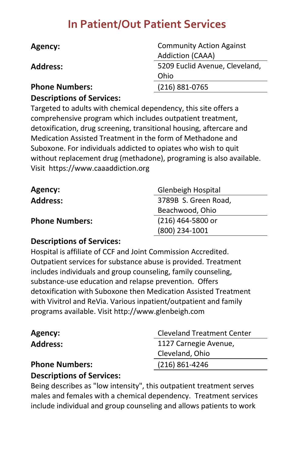| Agency:               | <b>Community Action Against</b><br>Addiction (CAAA) |
|-----------------------|-----------------------------------------------------|
| <b>Address:</b>       | 5209 Euclid Avenue, Cleveland,                      |
|                       | Ohio                                                |
| <b>Phone Numbers:</b> | (216) 881-0765                                      |

**Descriptions of Services:**

Targeted to adults with chemical dependency, this site offers a comprehensive program which includes outpatient treatment, detoxification, drug screening, transitional housing, aftercare and Medication Assisted Treatment in the form of Methadone and Suboxone. For individuals addicted to opiates who wish to quit without replacement drug (methadone), programing is also available. Visit https://www.caaaddiction.org

| Agency:               | Glenbeigh Hospital   |
|-----------------------|----------------------|
| <b>Address:</b>       | 3789B S. Green Road, |
|                       | Beachwood, Ohio      |
| <b>Phone Numbers:</b> | (216) 464-5800 or    |
|                       | (800) 234-1001       |

#### **Descriptions of Services:**

Hospital is affiliate of CCF and Joint Commission Accredited. Outpatient services for substance abuse is provided. Treatment includes individuals and group counseling, family counseling, substance-use education and relapse prevention. Offers detoxification with Suboxone then Medication Assisted Treatment with Vivitrol and ReVia. Various inpatient/outpatient and family programs available. Visit http://www.glenbeigh.com

| Agency:               | <b>Cleveland Treatment Center</b> |
|-----------------------|-----------------------------------|
| <b>Address:</b>       | 1127 Carnegie Avenue,             |
|                       | Cleveland, Ohio                   |
| <b>Phone Numbers:</b> | $(216) 861 - 4246$                |

#### **Descriptions of Services:**

Being describes as "low intensity", this outpatient treatment serves males and females with a chemical dependency. Treatment services include individual and group counseling and allows patients to work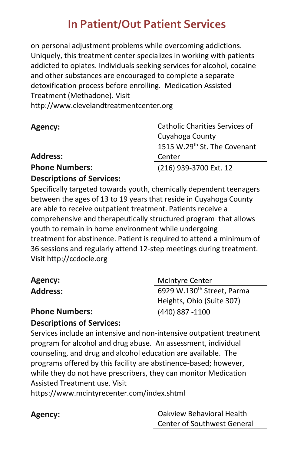on personal adjustment problems while overcoming addictions. Uniquely, this treatment center specializes in working with patients addicted to opiates. Individuals seeking services for alcohol, cocaine and other substances are encouraged to complete a separate detoxification process before enrolling. Medication Assisted Treatment (Methadone). Visit http://www.clevelandtreatmentcenter.org

**Agency:** Catholic Charities Services of Cuyahoga County **Address:** 1515 W.29<sup>th</sup> St. The Covenant **Center Phone Numbers:** (216) 939-3700 Ext. 12

**Descriptions of Services:**

Specifically targeted towards youth, chemically dependent teenagers between the ages of 13 to 19 years that reside in Cuyahoga County are able to receive outpatient treatment. Patients receive a comprehensive and therapeutically structured program that allows youth to remain in home environment while undergoing treatment for abstinence. Patient is required to attend a minimum of 36 sessions and regularly attend 12-step meetings during treatment. Visit http://ccdocle.org

| Agency:               | <b>McIntyre Center</b>                 |
|-----------------------|----------------------------------------|
| Address:              | 6929 W.130 <sup>th</sup> Street, Parma |
|                       | Heights, Ohio (Suite 307)              |
| <b>Phone Numbers:</b> | $(440)$ 887 -1100                      |

#### **Descriptions of Services:**

Services include an intensive and non-intensive outpatient treatment program for alcohol and drug abuse. An assessment, individual counseling, and drug and alcohol education are available. The programs offered by this facility are abstinence-based; however, while they do not have prescribers, they can monitor Medication Assisted Treatment use. Visit

https://www.mcintyrecenter.com/index.shtml

**Agency:** Oakview Behavioral Health Center of Southwest General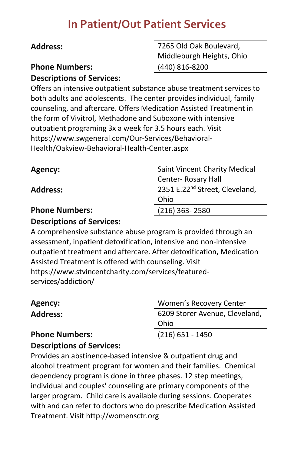#### **Phone Numbers:** (440) 816-8200

**Address:** 7265 Old Oak Boulevard, Middleburgh Heights, Ohio

#### **Descriptions of Services:**

Offers an intensive outpatient substance abuse treatment services to both adults and adolescents. The center provides individual, family counseling, and aftercare. Offers Medication Assisted Treatment in the form of Vivitrol, Methadone and Suboxone with intensive outpatient programing 3x a week for 3.5 hours each. Visit https://www.swgeneral.com/Our-Services/Behavioral-Health/Oakview-Behavioral-Health-Center.aspx

| Agency:               | <b>Saint Vincent Charity Medical</b>       |
|-----------------------|--------------------------------------------|
|                       | Center-Rosary Hall                         |
| <b>Address:</b>       | 2351 E.22 <sup>nd</sup> Street, Cleveland, |
|                       | Ohio                                       |
| <b>Phone Numbers:</b> | $(216)$ 363-2580                           |
|                       |                                            |

#### **Descriptions of Services:**

A comprehensive substance abuse program is provided through an assessment, inpatient detoxification, intensive and non-intensive outpatient treatment and aftercare. After detoxification, Medication Assisted Treatment is offered with counseling. Visit https://www.stvincentcharity.com/services/featuredservices/addiction/

| 6209 Storer Avenue, Cleveland, |
|--------------------------------|
|                                |
| $(216)$ 651 - 1450             |
|                                |

#### **Descriptions of Services:**

Provides an abstinence-based intensive & outpatient drug and alcohol treatment program for women and their families. Chemical dependency program is done in three phases. 12 step meetings, individual and couples' counseling are primary components of the larger program. Child care is available during sessions. Cooperates with and can refer to doctors who do prescribe Medication Assisted Treatment. Visit http://womensctr.org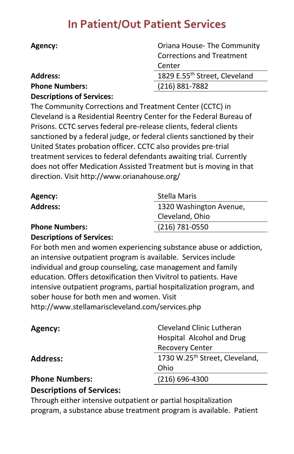| Agency:                          | Oriana House-The Community    |
|----------------------------------|-------------------------------|
|                                  | Corrections and Treatment     |
|                                  | Center                        |
| <b>Address:</b>                  | 1829 E.55th Street, Cleveland |
| <b>Phone Numbers:</b>            | $(216) 881 - 7882$            |
| <b>Descriptions of Services:</b> |                               |

The Community Corrections and Treatment Center (CCTC) in Cleveland is a Residential Reentry Center for the Federal Bureau of Prisons. CCTC serves federal pre-release clients, federal clients sanctioned by a federal judge, or federal clients sanctioned by their United States probation officer. CCTC also provides pre-trial treatment services to federal defendants awaiting trial. Currently does not offer Medication Assisted Treatment but is moving in that direction. Visit http://www.orianahouse.org/

| Agency:               | Stella Maris            |
|-----------------------|-------------------------|
| <b>Address:</b>       | 1320 Washington Avenue, |
|                       | Cleveland, Ohio         |
| <b>Phone Numbers:</b> | (216) 781-0550          |

#### **Descriptions of Services:**

For both men and women experiencing substance abuse or addiction, an intensive outpatient program is available. Services include individual and group counseling, case management and family education. Offers detoxification then Vivitrol to patients. Have intensive outpatient programs, partial hospitalization program, and sober house for both men and women. Visit http://www.stellamariscleveland.com/services.php

| Agency:               | Cleveland Clinic Lutheran<br>Hospital Alcohol and Drug |
|-----------------------|--------------------------------------------------------|
|                       | <b>Recovery Center</b>                                 |
| <b>Address:</b>       | 1730 W.25 <sup>th</sup> Street, Cleveland,             |
|                       | Ohio                                                   |
| <b>Phone Numbers:</b> | $(216) 696 - 4300$                                     |

#### **Descriptions of Services:**

Through either intensive outpatient or partial hospitalization program, a substance abuse treatment program is available. Patient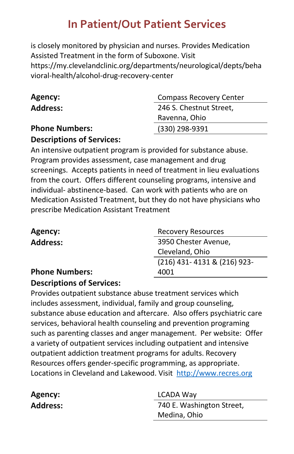is closely monitored by physician and nurses. Provides Medication Assisted Treatment in the form of Suboxone. Visit https://my.clevelandclinic.org/departments/neurological/depts/beha vioral-health/alcohol-drug-recovery-center

| Agency:               | <b>Compass Recovery Center</b> |
|-----------------------|--------------------------------|
| <b>Address:</b>       | 246 S. Chestnut Street,        |
|                       | Ravenna, Ohio                  |
| <b>Phone Numbers:</b> | (330) 298-9391                 |
|                       |                                |

#### **Descriptions of Services:**

An intensive outpatient program is provided for substance abuse. Program provides assessment, case management and drug screenings. Accepts patients in need of treatment in lieu evaluations from the court. Offers different counseling programs, intensive and individual- abstinence-based. Can work with patients who are on Medication Assisted Treatment, but they do not have physicians who prescribe Medication Assistant Treatment

| Agency:               | <b>Recovery Resources</b>   |
|-----------------------|-----------------------------|
| <b>Address:</b>       | 3950 Chester Avenue,        |
|                       | Cleveland, Ohio             |
|                       | (216) 431-4131 & (216) 923- |
| <b>Phone Numbers:</b> | 4001                        |

#### **Descriptions of Services:**

Agency: **Address:** 

Provides outpatient substance abuse treatment services which includes assessment, individual, family and group counseling, substance abuse education and aftercare. Also offers psychiatric care services, behavioral health counseling and prevention programing such as parenting classes and anger management. Per website: Offer a variety of outpatient services including outpatient and intensive outpatient addiction treatment programs for adults. Recovery Resources offers gender-specific programming, as appropriate. Locations in Cleveland and Lakewood. Visit [http://www.recres.org](http://www.recres.org/)

| <b>LCADA Way</b>          |
|---------------------------|
| 740 E. Washington Street, |
| Medina, Ohio              |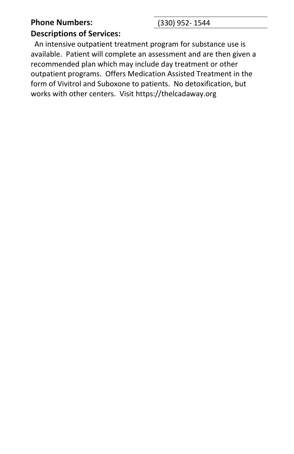#### **Phone Numbers:** (330) 952- 1544 **Descriptions of Services:**

 An intensive outpatient treatment program for substance use is available. Patient will complete an assessment and are then given a recommended plan which may include day treatment or other outpatient programs. Offers Medication Assisted Treatment in the form of Vivitrol and Suboxone to patients. No detoxification, but works with other centers. Visit https://thelcadaway.org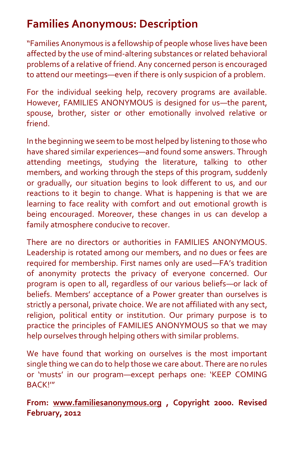### **Families Anonymous: Description**

"Families Anonymous is a fellowship of people whose lives have been affected by the use of mind-altering substances or related behavioral problems of a relative of friend. Any concerned person is encouraged to attend our meetings—even if there is only suspicion of a problem.

For the individual seeking help, recovery programs are available. However, FAMILIES ANONYMOUS is designed for us—the parent, spouse, brother, sister or other emotionally involved relative or friend.

In the beginning we seem to be most helped by listening to those who have shared similar experiences—and found some answers. Through attending meetings, studying the literature, talking to other members, and working through the steps of this program, suddenly or gradually, our situation begins to look different to us, and our reactions to it begin to change. What is happening is that we are learning to face reality with comfort and out emotional growth is being encouraged. Moreover, these changes in us can develop a family atmosphere conducive to recover.

There are no directors or authorities in FAMILIES ANONYMOUS. Leadership is rotated among our members, and no dues or fees are required for membership. First names only are used—FA's tradition of anonymity protects the privacy of everyone concerned. Our program is open to all, regardless of our various beliefs—or lack of beliefs. Members' acceptance of a Power greater than ourselves is strictly a personal, private choice. We are not affiliated with any sect, religion, political entity or institution. Our primary purpose is to practice the principles of FAMILIES ANONYMOUS so that we may help ourselves through helping others with similar problems.

We have found that working on ourselves is the most important single thing we can do to help those we care about. There are no rules or 'musts' in our program—except perhaps one: 'KEEP COMING BACK!'"

**From: [www.familiesanonymous.org](http://www.familiesanonymous.org/) , Copyright 2000. Revised February, 2012**